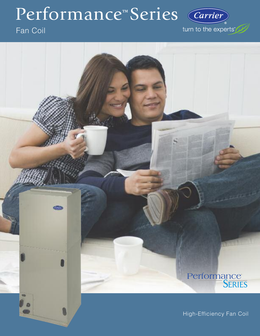# Performance™ Series (Carrier)

# Fan Coil

turn to the experts"

# Performance<sup>T</sup><br>SERIES

High-Efficiency Fan Coil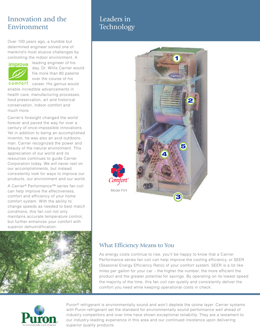# Innovation and the Environment

Over 100 years ago, a humble but determined engineer solved one of mankind's most elusive challenges by controlling the indoor environment. A



leading engineer of his day, Dr. Willis Carrier would file more than 80 patents over the course of his

comfort career. His genius would enable incredible advancements in health care, manufacturing processes, food preservation, art and historical conservation, indoor comfort and much more.

Carrier's foresight changed the world forever and paved the way for over a century of once-impossible innovations. Yet in addition to being an accomplished inventor, he was also an avid outdoorsman. Carrier recognized the power and beauty of the natural environment. This appreciation of our world and its resources continues to guide Carrier Corporation today. We will never rest on our accomplishments, but instead consistently look for ways to improve our products, our environment and our world.

A Carrier® Performance™ series fan coil can help improve the effectiveness, comfort and efficiency of your home comfort system. With the ability to change speeds as needed to best match conditions, this fan coil not only maintains accurate temperature control, but further enhances your comfort with superior dehumidification.



# Leaders in **Technology**



## What Efficiency Means to You

As energy costs continue to rise, you'll be happy to know that a Carrier Performance series fan coil can help improve the cooling efficiency, or SEER (Seasonal Energy Efficiency Ratio) of your comfort system. SEER is a lot like miles per gallon for your car – the higher the number, the more efficient the product and the greater potential for savings. By operating on its lowest speed the majority of the time, this fan coil can quietly and consistently deliver the comfort you need while keeping operational costs in check.



Puron® refrigerant is environmentally sound and won't deplete the ozone layer. Carrier systems with Puron refrigerant set the standard for environmentally sound performance well ahead of industry competitors and over time have shown exceptional reliability. They are a testament to our industry-leading experience in this area and our continued insistence upon delivering superior quality products.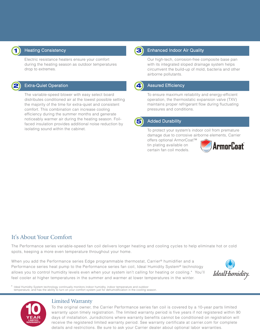

#### Heating Consistency

Electric resistance heaters ensure your comfort during the heating season as outdoor temperatures drop to extremes.



#### Extra-Quiet Operation

The variable-speed blower with easy select board distributes conditioned air at the lowest possible setting the majority of the time for extra-quiet and consistent comfort. This combination can increase cooling efficiency during the summer months and generate noticeably warmer air during the heating season. Foilfaced insulation provides additional noise reduction by isolating sound within the cabinet.



#### Enhanced Indoor Air Quality

Our high-tech, corrosion-free composite base pan with its integrated sloped drainage system helps circumvent the build-up of mold, bacteria and other airborne pollutants.

#### **4** Assured Efficiency

To ensure maximum reliability and energy-efficient operation, the thermostatic expansion valve (TXV) maintains proper refrigerant flow during fluctuating pressures and conditions.



#### **5** Added Durability

To protect your system's indoor coil from premature damage due to corrosive airborne elements, Carrier

offers optional ArmorCoat™ tin plating available on certain fan coil models.



### It's About Your Comfort

The Performance series variable-speed fan coil delivers longer heating and cooling cycles to help eliminate hot or cold spots, keeping a more even temperature throughout your home.

When you add the Performance series Edge programmable thermostat, Carrier® humidifier and a Performance series heat pump to the Performance series fan coil, Ideal Humidity System® technology allows you to control humidity levels even when your system isn't calling for heating or cooling.\* You'll feel cooler at higher temperatures in the summer and warmer at lower temperatures in the winter.



Ideal Humidity System technology continually monitors indoor humidity, indoor temperature and outdoor temperature, and has the ability to turn on your comfort system just for dehumidification in the cooling season.



#### Limited Warranty

To the original owner, the Carrier Performance series fan coil is covered by a 10-year parts limited warranty upon timely registration. The limited warranty period is five years if not registered within 90 days of installation. Jurisdictions where warranty benefits cannot be conditioned on registration will receive the registered limited warranty period. See warranty certificate at carrier.com for complete details and restrictions. Be sure to ask your Carrier dealer about optional labor warranties.